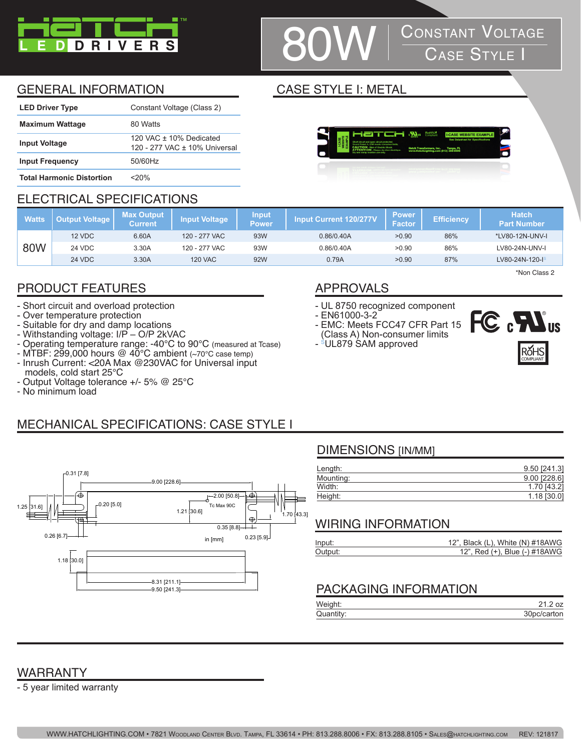

# **CONSTANT VOLTAGE**<br>CASE STYLE I

**AL** 

## GENERAL INFORMATION CASE STYLE I: METAL

| <b>LED Driver Type</b>           | Constant Voltage (Class 2)                                   |
|----------------------------------|--------------------------------------------------------------|
| <b>Maximum Wattage</b>           | 80 Watts                                                     |
| <b>Input Voltage</b>             | 120 VAC $\pm$ 10% Dedicated<br>120 - 277 VAC ± 10% Universal |
| <b>Input Frequency</b>           | 50/60Hz                                                      |
| <b>Total Harmonic Distortion</b> | <20%                                                         |

# ELECTRICAL SPECIFICATIONS

|              | .                     | _______________              |                      |                       |                               |                               |                   |                                    |
|--------------|-----------------------|------------------------------|----------------------|-----------------------|-------------------------------|-------------------------------|-------------------|------------------------------------|
| <b>Watts</b> | <b>Dutput Voltage</b> | <b>Max Output</b><br>Current | <b>Input Voltage</b> | <b>Input</b><br>Powen | <b>Input Current 120/277V</b> | <b>Power</b><br><b>Factor</b> | <b>Efficiency</b> | <b>Hatch</b><br><b>Part Number</b> |
|              | 12 VDC                | 6.60A                        | 120 - 277 VAC        | 93W                   | 0.86/0.40A                    | >0.90                         | 86%               | *LV80-12N-UNV-I                    |
| 80W          | <b>24 VDC</b>         | 3.30A                        | 120 - 277 VAC        | 93W                   | 0.86/0.40A                    | >0.90                         | 86%               | LV80-24N-UNV-I                     |
|              | <b>24 VDC</b>         | 3.30A                        | <b>120 VAC</b>       | 92W                   | 0.79A                         | >0.90                         | 87%               | LV80-24N-120-IS                    |

## PRODUCT FEATURES APPROVALS

- Short circuit and overload protection
- Over temperature protection
- Suitable for dry and damp locations
- Withstanding voltage: I/P O/P 2kVAC
- Operating temperature range: -40°C to 90°C (measured at Tcase)
- MTBF: 299,000 hours @ 40°C ambient (~70°C case temp) - Inrush Current: <20A Max @230VAC for Universal input models, cold start 25°C
- Output Voltage tolerance +/- 5% @ 25°C
- No minimum load

- UL 8750 recognized component
- EN61000-3-2
- EMC: Meets FCC47 CFR Part 15 (Class A) Non-consumer limits





\*Non Class 2

# MECHANICAL SPECIFICATIONS: CASE STYLE I



# DIMENSIONS [IN/MM]

| 9.50 [241.3]   |
|----------------|
| $9.00$ [228.6] |
| 1.70 [43.2]    |
| $1.18$ [30.0]  |
|                |

# WIRING INFORMATION

| Input:  | 12", Black (L), White (N) #18AWG |
|---------|----------------------------------|
| Output: | 12", Red (+), Blue (-) #18AWG    |

## PACKAGING INFORMATION

| Weight:   |             |
|-----------|-------------|
| Quantity: | 30pc/carton |

# WARRANTY

- 5 year limited warranty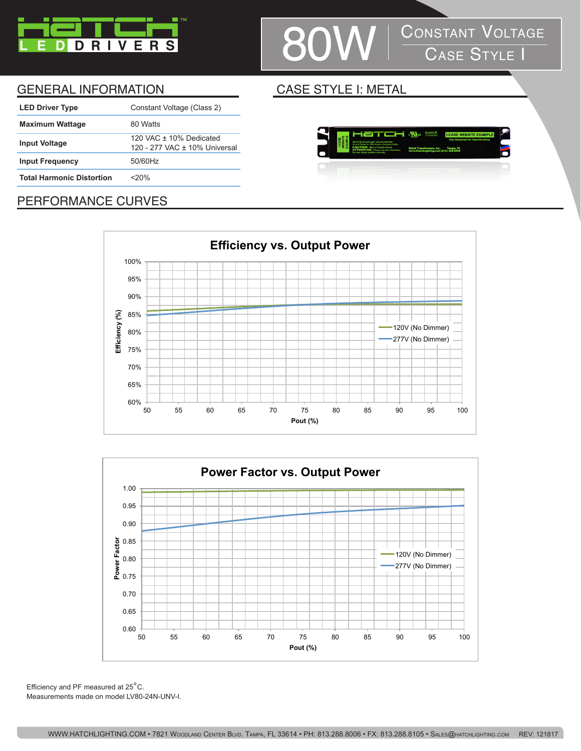

# **80W** CONSTANT VOLTAGE

### GENERAL INFORMATION CASE STYLE I: METAL

| <b>LED Driver Type</b>           | Constant Voltage (Class 2)                                 |
|----------------------------------|------------------------------------------------------------|
| <b>Maximum Wattage</b>           | 80 Watts                                                   |
| <b>Input Voltage</b>             | 120 VAC $+$ 10% Dedicated<br>120 - 277 VAC ± 10% Universal |
| <b>Input Frequency</b>           | 50/60Hz                                                    |
| <b>Total Harmonic Distortion</b> | $<$ 20%                                                    |
|                                  |                                                            |



## PERFORMANCE CURVES





Efficiency and PF measured at 25°C. Measurements made on model LV80-24N-UNV-I.